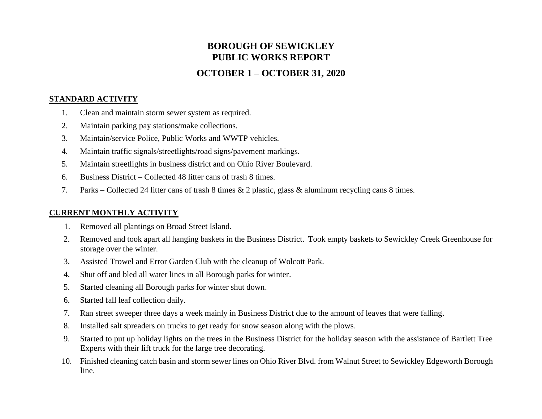# **BOROUGH OF SEWICKLEY PUBLIC WORKS REPORT**

## **OCTOBER 1 – OCTOBER 31, 2020**

#### **STANDARD ACTIVITY**

- 1. Clean and maintain storm sewer system as required.
- 2. Maintain parking pay stations/make collections.
- 3. Maintain/service Police, Public Works and WWTP vehicles.
- 4. Maintain traffic signals/streetlights/road signs/pavement markings.
- 5. Maintain streetlights in business district and on Ohio River Boulevard.
- 6. Business District Collected 48 litter cans of trash 8 times.
- 7. Parks Collected 24 litter cans of trash 8 times & 2 plastic, glass & aluminum recycling cans 8 times.

### **CURRENT MONTHLY ACTIVITY**

- 1. Removed all plantings on Broad Street Island.
- 2. Removed and took apart all hanging baskets in the Business District. Took empty baskets to Sewickley Creek Greenhouse for storage over the winter.
- 3. Assisted Trowel and Error Garden Club with the cleanup of Wolcott Park.
- 4. Shut off and bled all water lines in all Borough parks for winter.
- 5. Started cleaning all Borough parks for winter shut down.
- 6. Started fall leaf collection daily.
- 7. Ran street sweeper three days a week mainly in Business District due to the amount of leaves that were falling.
- 8. Installed salt spreaders on trucks to get ready for snow season along with the plows.
- 9. Started to put up holiday lights on the trees in the Business District for the holiday season with the assistance of Bartlett Tree Experts with their lift truck for the large tree decorating.
- 10. Finished cleaning catch basin and storm sewer lines on Ohio River Blvd. from Walnut Street to Sewickley Edgeworth Borough line.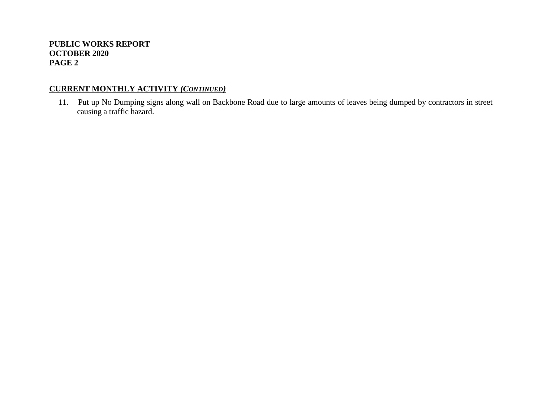### **CURRENT MONTHLY ACTIVITY** *(CONTINUED)*

11. Put up No Dumping signs along wall on Backbone Road due to large amounts of leaves being dumped by contractors in street causing a traffic hazard.